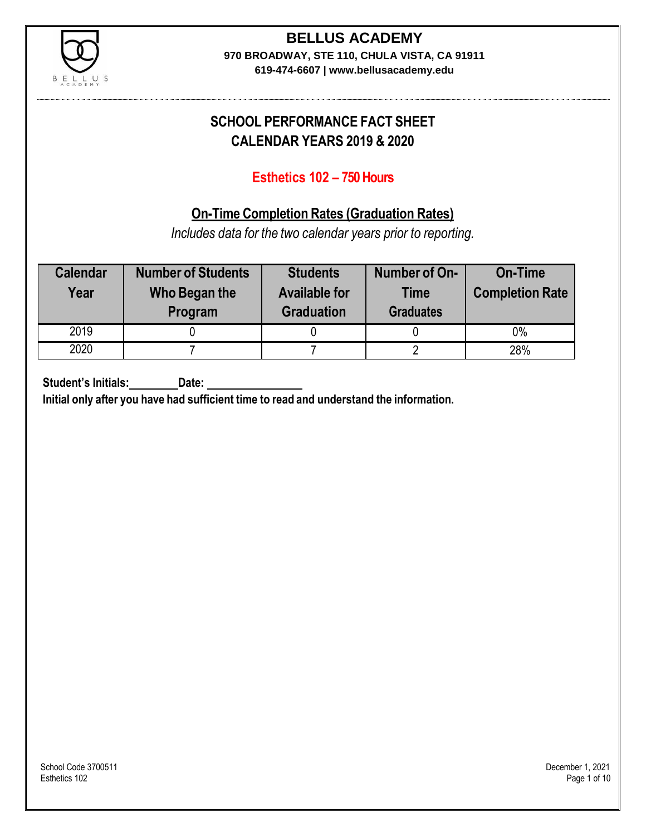

# **BELLUS ACADEMY**

**970 BROADWAY, STE 110, CHULA VISTA, CA 91911**

**619-474-6607 | www.bellusacademy.edu**

### **SCHOOL PERFORMANCE FACT SHEET CALENDAR YEARS 2019 & 2020**

### **Esthetics 102 – 750 Hours**

### **On-Time Completion Rates (Graduation Rates)**

*Includes data for the two calendar years prior to reporting.*

| <b>Calendar</b><br>Year | <b>Number of Students</b><br>Who Began the<br>Program | <b>Students</b><br><b>Available for</b><br><b>Graduation</b> | Number of On-<br><b>Time</b><br><b>Graduates</b> | <b>On-Time</b><br><b>Completion Rate</b> |
|-------------------------|-------------------------------------------------------|--------------------------------------------------------------|--------------------------------------------------|------------------------------------------|
| 2019                    |                                                       |                                                              |                                                  | 0%                                       |
| 2020                    |                                                       |                                                              |                                                  | 28%                                      |

**Student's Initials: Date:**

**Initial only after you have had sufficient time to read and understand the information.**

School Code 3700511 December 1, 2021<br>Esthetics 102 Page 1 of 10 Esthetics 102 Page 1 of 10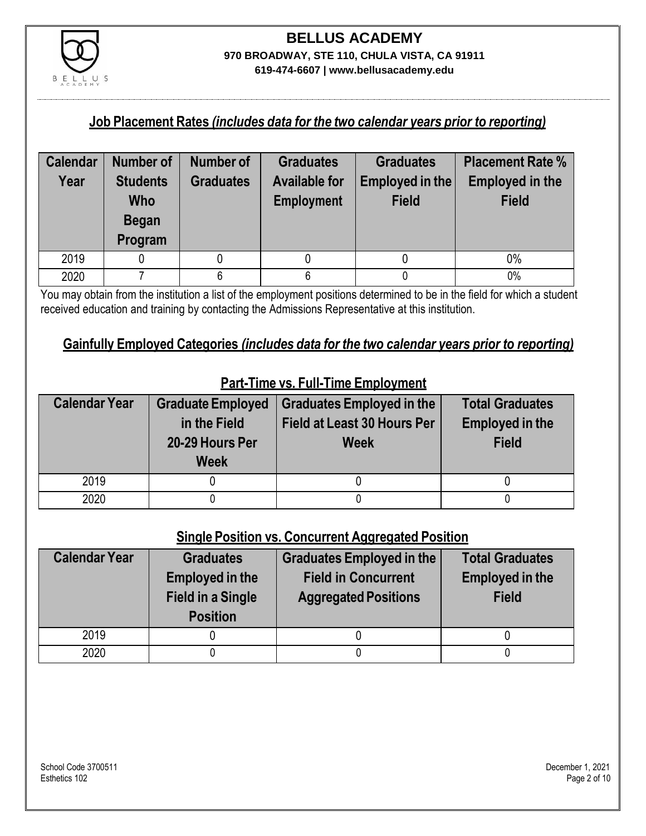

#### **Job Placement Rates** *(includes data for the two calendar years prior to reporting)*

| <b>Calendar</b> | <b>Number of</b>                                  | Number of        | <b>Graduates</b>                          | <b>Graduates</b>                | <b>Placement Rate %</b>                |
|-----------------|---------------------------------------------------|------------------|-------------------------------------------|---------------------------------|----------------------------------------|
| Year            | <b>Students</b><br>Who<br><b>Began</b><br>Program | <b>Graduates</b> | <b>Available for</b><br><b>Employment</b> | Employed in the<br><b>Field</b> | <b>Employed in the</b><br><b>Field</b> |
| 2019            |                                                   |                  |                                           |                                 | $0\%$                                  |
| 2020            |                                                   | 6                | 6                                         |                                 | 0%                                     |

You may obtain from the institution a list of the employment positions determined to be in the field for which a student received education and training by contacting the Admissions Representative at this institution.

#### **Gainfully Employed Categories** *(includes data for the two calendar years prior to reporting)*

| <b>Calendar Year</b> | <b>Graduate Employed</b><br>in the Field<br>20-29 Hours Per<br><b>Week</b> | <b>Graduates Employed in the</b><br><b>Field at Least 30 Hours Per</b><br><b>Week</b> | <b>Total Graduates</b><br><b>Employed in the</b><br><b>Field</b> |
|----------------------|----------------------------------------------------------------------------|---------------------------------------------------------------------------------------|------------------------------------------------------------------|
| 2019                 |                                                                            |                                                                                       |                                                                  |
| 2020                 |                                                                            |                                                                                       |                                                                  |

### **Part-Time vs. Full-Time Employment**

#### **Single Position vs. Concurrent Aggregated Position**

| <b>Calendar Year</b> | <b>Graduates</b><br><b>Employed in the</b><br><b>Field in a Single</b><br><b>Position</b> | Graduates Employed in the<br><b>Field in Concurrent</b><br><b>Aggregated Positions</b> | <b>Total Graduates</b><br><b>Employed in the</b><br><b>Field</b> |
|----------------------|-------------------------------------------------------------------------------------------|----------------------------------------------------------------------------------------|------------------------------------------------------------------|
| 2019                 |                                                                                           |                                                                                        |                                                                  |
| 2020                 |                                                                                           |                                                                                        |                                                                  |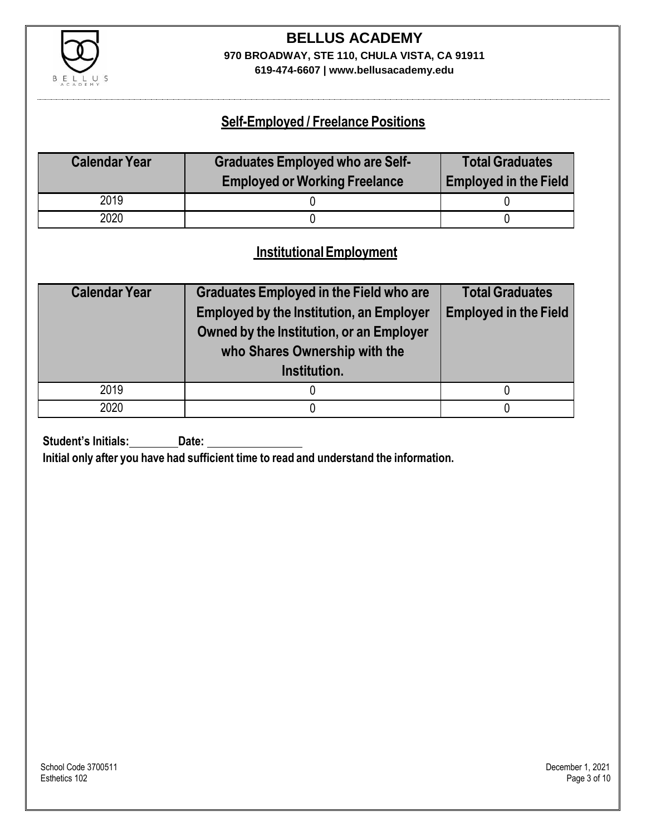

# **BELLUS ACADEMY 970 BROADWAY, STE 110, CHULA VISTA, CA 91911**

**619-474-6607 | www.bellusacademy.edu**

### **Self-Employed / Freelance Positions**

| <b>Calendar Year</b> | <b>Graduates Employed who are Self-</b> | <b>Total Graduates</b>       |
|----------------------|-----------------------------------------|------------------------------|
|                      | <b>Employed or Working Freelance</b>    | <b>Employed in the Field</b> |
| 2019                 |                                         |                              |
| 2020                 |                                         |                              |

### **InstitutionalEmployment**

| <b>Calendar Year</b> | <b>Graduates Employed in the Field who are</b><br><b>Employed by the Institution, an Employer</b><br>Owned by the Institution, or an Employer<br>who Shares Ownership with the<br>Institution. | <b>Total Graduates</b><br><b>Employed in the Field</b> |
|----------------------|------------------------------------------------------------------------------------------------------------------------------------------------------------------------------------------------|--------------------------------------------------------|
| 2019                 |                                                                                                                                                                                                |                                                        |
| 2020                 |                                                                                                                                                                                                |                                                        |

**Student's Initials:** Date:

**Initial only after you have had sufficient time to read and understand the information.**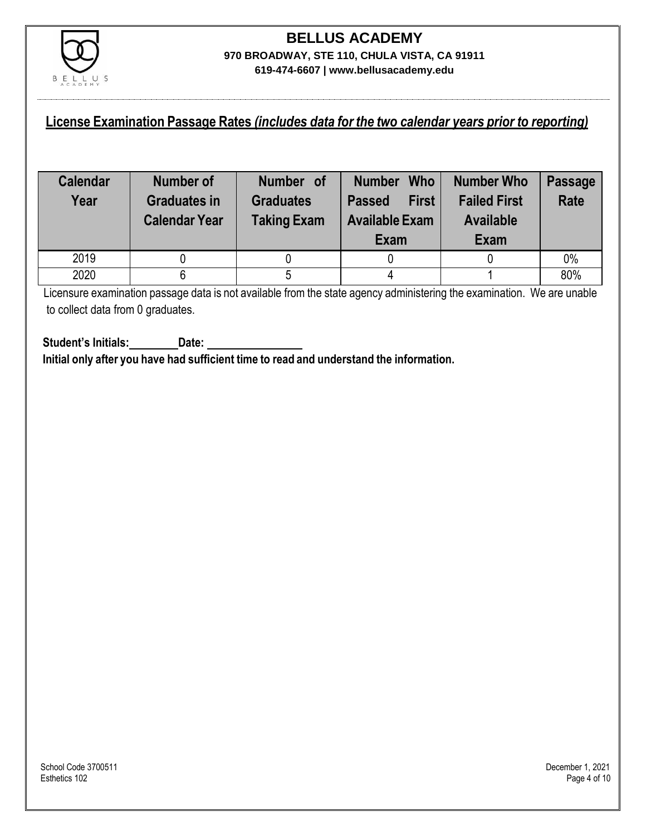

#### **License Examination Passage Rates** *(includes data for the two calendar years prior to reporting)*

| <b>Calendar</b><br>Year | Number of<br><b>Graduates in</b><br><b>Calendar Year</b> | Number of<br><b>Graduates</b><br><b>Taking Exam</b> | <b>Who</b><br><b>Number</b><br><b>First</b><br><b>Passed</b><br><b>Available Exam</b><br>Exam | Number Who<br><b>Failed First</b><br><b>Available</b><br>Exam | <b>Passage</b><br><b>Rate</b> |
|-------------------------|----------------------------------------------------------|-----------------------------------------------------|-----------------------------------------------------------------------------------------------|---------------------------------------------------------------|-------------------------------|
| 2019                    |                                                          |                                                     |                                                                                               |                                                               | 0%                            |
| 2020                    |                                                          |                                                     |                                                                                               |                                                               | 80%                           |

Licensure examination passage data is not available from the state agency administering the examination. We are unable to collect data from 0 graduates.

**Student's Initials: Date: Initial only after you have had sufficient time to read and understand the information.**

School Code 3700511 December 1, 2021<br>Esthetics 102 Page 4 of 10 Esthetics 102 Page 4 of 10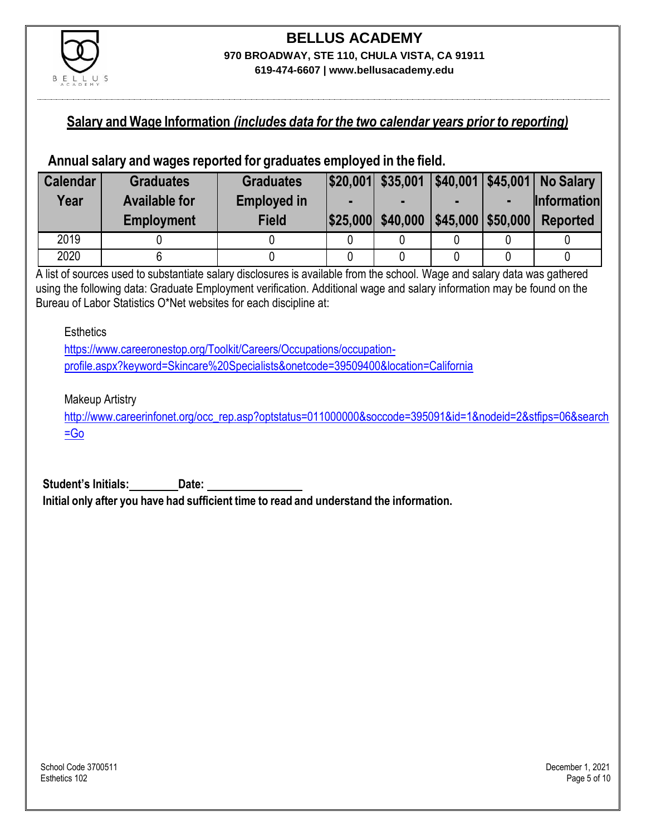

#### **Salary and Wage Information** *(includes data for the two calendar years prior to reporting)*

#### **Annual salary and wages reported for graduates employed in the field.**

| <b>Calendar</b> | <b>Graduates</b>     | <b>Graduates</b>   |                   |                         | \$20,001 \$35,001 \$40,001 \$45,001 No Salary |
|-----------------|----------------------|--------------------|-------------------|-------------------------|-----------------------------------------------|
| Year            | <b>Available for</b> | <b>Employed in</b> |                   |                         | <b>Information</b>                            |
|                 | <b>Employment</b>    | <b>Field</b>       | \$25,000 \$40,000 | $ $45,000$ \ \$50,000 \ | <b>Reported</b>                               |
| 2019            |                      |                    |                   |                         |                                               |
| 2020            |                      |                    |                   |                         |                                               |

A list of sources used to substantiate salary disclosures is available from the school. Wage and salary data was gathered using the following data: Graduate Employment verification. Additional wage and salary information may be found on the Bureau of Labor Statistics O\*Net websites for each discipline at:

**Esthetics** 

[https://www.careeronestop.org/Toolkit/Careers/Occupations/occupation](https://www.careeronestop.org/Toolkit/Careers/Occupations/occupation-profile.aspx?keyword=Skincare%20Specialists&onetcode=39509400&location=California)[profile.aspx?keyword=Skincare%20Specialists&onetcode=39509400&location=California](https://www.careeronestop.org/Toolkit/Careers/Occupations/occupation-profile.aspx?keyword=Skincare%20Specialists&onetcode=39509400&location=California)

Makeup Artistry

[http://www.careerinfonet.org/occ\\_rep.asp?optstatus=011000000&soccode=395091&id=1&nodeid=2&stfips=06&search](http://www.careerinfonet.org/occ_rep.asp?optstatus=011000000&soccode=395091&id=1&nodeid=2&stfips=06&search=Go)  $=$ Go

**Student's Initials: Date: Initial only after you have had sufficient time to read and understand the information.**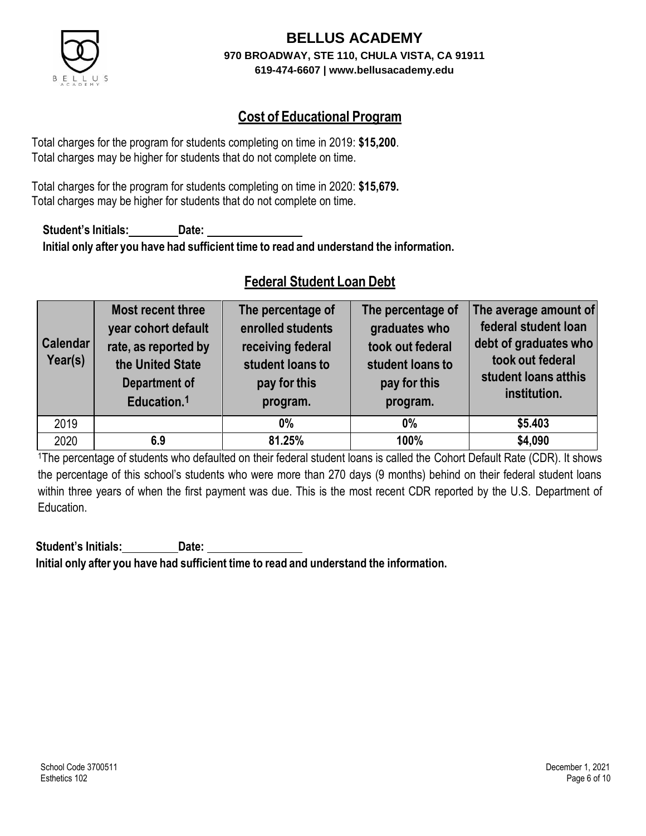

### **Cost of Educational Program**

Total charges for the program for students completing on time in 2019: **\$15,200**. Total charges may be higher for students that do not complete on time.

Total charges for the program for students completing on time in 2020: **\$15,679.** Total charges may be higher for students that do not complete on time.

**Student's Initials: Date: Initial only after you have had sufficient time to read and understand the information.**

### **Federal Student Loan Debt**

| <b>Calendar</b><br>Year(s) | Most recent three<br>year cohort default<br>rate, as reported by<br>the United State<br><b>Department of</b><br>Education. <sup>1</sup> | The percentage of<br>enrolled students<br>receiving federal<br>student loans to<br>pay for this<br>program. | The percentage of<br>graduates who<br>took out federal<br>student loans to<br>pay for this<br>program. | The average amount of<br>federal student loan<br>debt of graduates who<br>took out federal<br>student loans atthis<br>institution. |
|----------------------------|-----------------------------------------------------------------------------------------------------------------------------------------|-------------------------------------------------------------------------------------------------------------|--------------------------------------------------------------------------------------------------------|------------------------------------------------------------------------------------------------------------------------------------|
| 2019                       |                                                                                                                                         | $0\%$                                                                                                       | $0\%$                                                                                                  | \$5.403                                                                                                                            |
| 2020                       | 6.9                                                                                                                                     | 81.25%                                                                                                      | 100%                                                                                                   | \$4,090                                                                                                                            |

<sup>1</sup>The percentage of students who defaulted on their federal student loans is called the Cohort Default Rate (CDR). It shows the percentage of this school's students who were more than 270 days (9 months) behind on their federal student loans within three years of when the first payment was due. This is the most recent CDR reported by the U.S. Department of Education.

**Student's Initials: Date: Initial only after you have had sufficient time to read and understand the information.**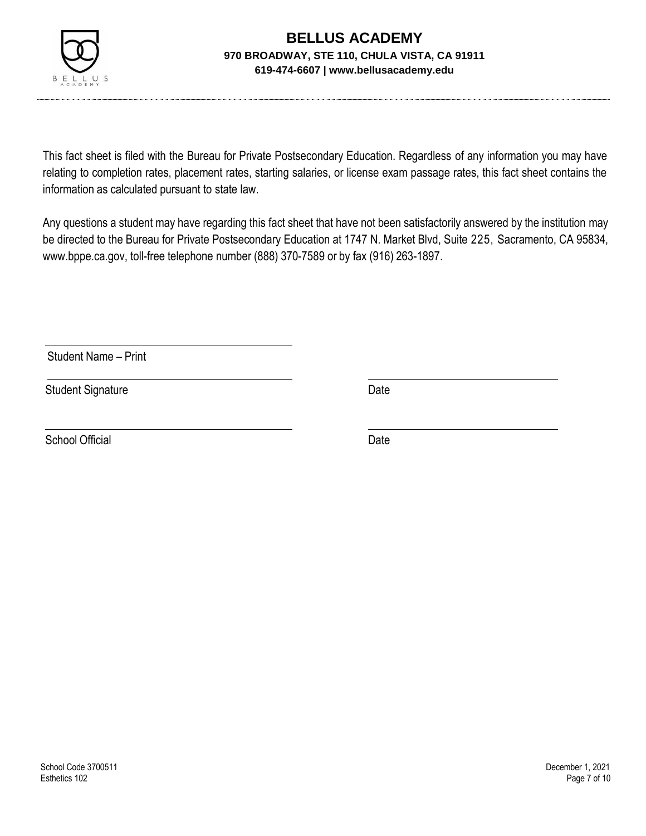

This fact sheet is filed with the Bureau for Private Postsecondary Education. Regardless of any information you may have relating to completion rates, placement rates, starting salaries, or license exam passage rates, this fact sheet contains the information as calculated pursuant to state law.

Any questions a student may have regarding this fact sheet that have not been satisfactorily answered by the institution may be directed to the Bureau for Private Postsecondary Education at 1747 N. Market Blvd, Suite 225, Sacramento, CA 95834, [www.bppe.ca.gov,](http://www.bppe.ca.gov/) toll-free telephone number (888) 370-7589 or by fax (916) 263-1897.

Student Name – Print

Student Signature Date

School Official Date Date Date Date Date Date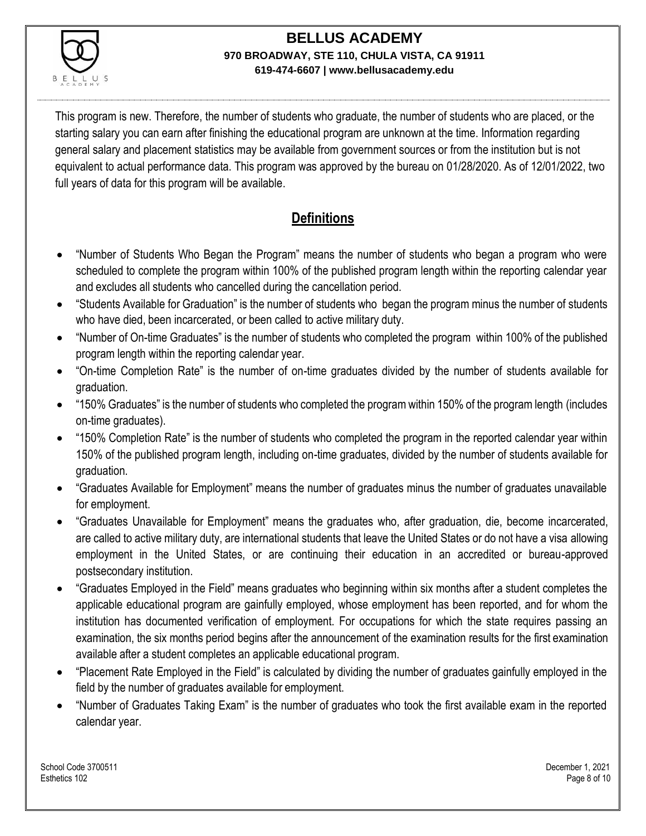

This program is new. Therefore, the number of students who graduate, the number of students who are placed, or the starting salary you can earn after finishing the educational program are unknown at the time. Information regarding general salary and placement statistics may be available from government sources or from the institution but is not equivalent to actual performance data. This program was approved by the bureau on 01/28/2020. As of 12/01/2022, two full years of data for this program will be available.

### **Definitions**

- "Number of Students Who Began the Program" means the number of students who began a program who were scheduled to complete the program within 100% of the published program length within the reporting calendar year and excludes all students who cancelled during the cancellation period.
- "Students Available for Graduation" is the number of students who began the program minus the number of students who have died, been incarcerated, or been called to active military duty.
- "Number of On-time Graduates" is the number of students who completed the program within 100% of the published program length within the reporting calendar year.
- "On-time Completion Rate" is the number of on-time graduates divided by the number of students available for graduation.
- "150% Graduates" is the number of students who completed the program within 150% of the program length (includes on-time graduates).
- "150% Completion Rate" is the number of students who completed the program in the reported calendar year within 150% of the published program length, including on-time graduates, divided by the number of students available for graduation.
- "Graduates Available for Employment" means the number of graduates minus the number of graduates unavailable for employment.
- "Graduates Unavailable for Employment" means the graduates who, after graduation, die, become incarcerated, are called to active military duty, are international students that leave the United States or do not have a visa allowing employment in the United States, or are continuing their education in an accredited or bureau-approved postsecondary institution.
- "Graduates Employed in the Field" means graduates who beginning within six months after a student completes the applicable educational program are gainfully employed, whose employment has been reported, and for whom the institution has documented verification of employment. For occupations for which the state requires passing an examination, the six months period begins after the announcement of the examination results for the first examination available after a student completes an applicable educational program.
- "Placement Rate Employed in the Field" is calculated by dividing the number of graduates gainfully employed in the field by the number of graduates available for employment.
- "Number of Graduates Taking Exam" is the number of graduates who took the first available exam in the reported calendar year.

School Code 3700511 December 1, 2021 Esthetics 102 Page 8 of 10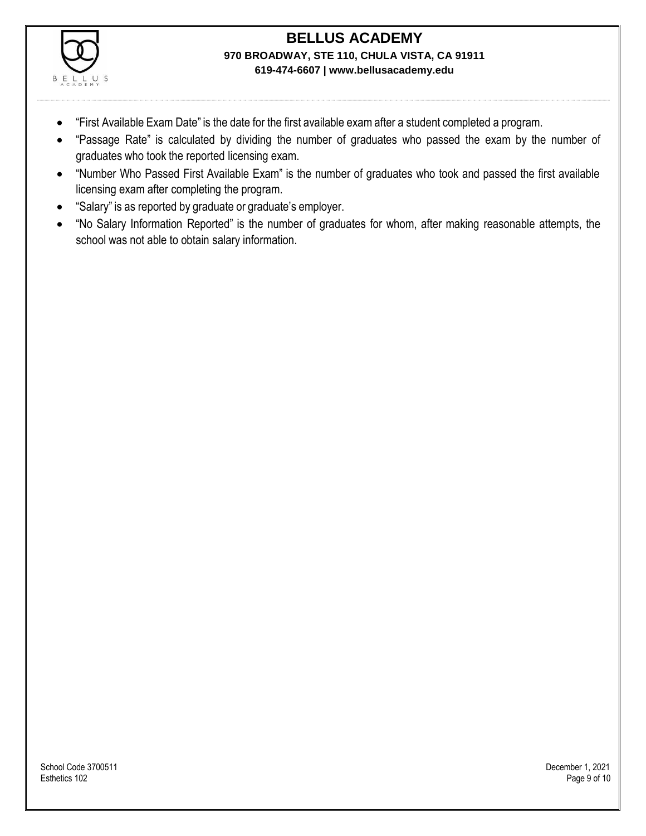

- "First Available Exam Date" is the date for the first available exam after a student completed a program.
- "Passage Rate" is calculated by dividing the number of graduates who passed the exam by the number of graduates who took the reported licensing exam.
- "Number Who Passed First Available Exam" is the number of graduates who took and passed the first available licensing exam after completing the program.
- "Salary" is as reported by graduate or graduate's employer.
- "No Salary Information Reported" is the number of graduates for whom, after making reasonable attempts, the school was not able to obtain salary information.